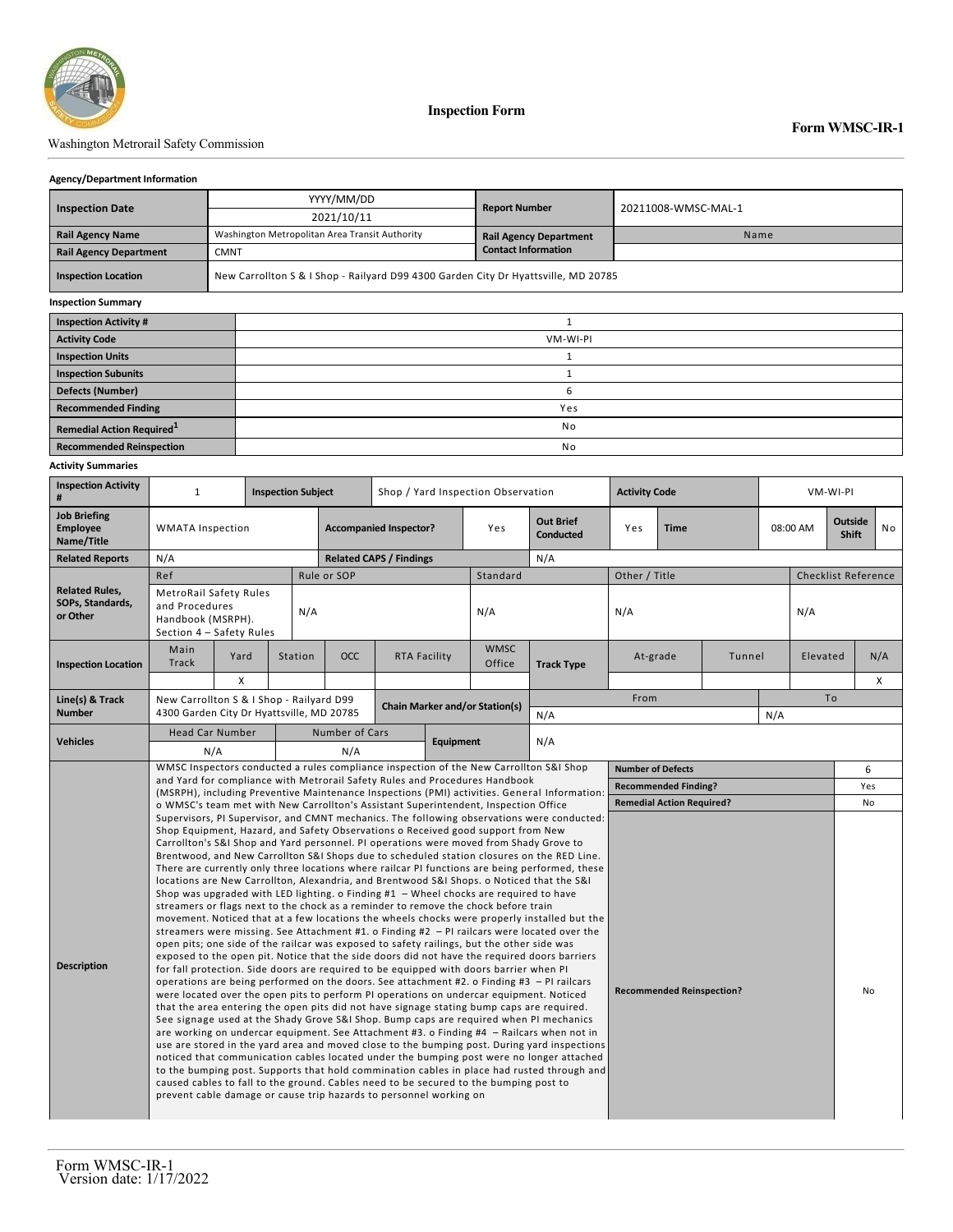

### Washington Metrorail Safety Commission

#### **Agency/Department Information**

|                               | YYYY/MM/DD                                     | <b>Report Number</b>                                                               | 20211008-WMSC-MAL-1 |  |  |  |  |  |
|-------------------------------|------------------------------------------------|------------------------------------------------------------------------------------|---------------------|--|--|--|--|--|
| <b>Inspection Date</b>        | 2021/10/11                                     |                                                                                    |                     |  |  |  |  |  |
| <b>Rail Agency Name</b>       | Washington Metropolitan Area Transit Authority | <b>Rail Agency Department</b>                                                      | Name                |  |  |  |  |  |
| <b>Rail Agency Department</b> | <b>CMNT</b>                                    | <b>Contact Information</b>                                                         |                     |  |  |  |  |  |
| <b>Inspection Location</b>    |                                                | New Carrollton S & I Shop - Railyard D99 4300 Garden City Dr Hyattsville, MD 20785 |                     |  |  |  |  |  |
| <b>Inspection Summary</b>     |                                                |                                                                                    |                     |  |  |  |  |  |
| <b>Inspection Activity #</b>  |                                                |                                                                                    |                     |  |  |  |  |  |
| <b>Activity Code</b>          |                                                | VM-WI-PI                                                                           |                     |  |  |  |  |  |
| <b>Inspection Units</b>       |                                                |                                                                                    |                     |  |  |  |  |  |
| <b>Inspection Subunits</b>    |                                                |                                                                                    |                     |  |  |  |  |  |
| <b>Defects (Number)</b>       |                                                | b                                                                                  |                     |  |  |  |  |  |

**Recommended Finding** Yes

# **Remedial Action Required**<sup>1</sup> and **1** No **Recommended Reinspection** No

### **Activity Summaries**

| <b>Inspection Activity</b><br>#                       | $\mathbf{1}$                                                                                                                                                                                                                                                                                                                                                                                                                                                                                                                                                                                                                                                                                                                                                                                                                                                                                                                                                                                                                                                                                                                                                                                                                                                                                                                                                                                                                                                                                                                                                                                                                                                                                                                                                                                                                                                                                                                                                                                                                                                                                                                                                                                                               |      | <b>Inspection Subject</b> | Shop / Yard Inspection Observation    |                                |                                  | <b>Activity Code</b>        |                                      |                    | VM-WI-PI |        |          |     |                                |                            |  |
|-------------------------------------------------------|----------------------------------------------------------------------------------------------------------------------------------------------------------------------------------------------------------------------------------------------------------------------------------------------------------------------------------------------------------------------------------------------------------------------------------------------------------------------------------------------------------------------------------------------------------------------------------------------------------------------------------------------------------------------------------------------------------------------------------------------------------------------------------------------------------------------------------------------------------------------------------------------------------------------------------------------------------------------------------------------------------------------------------------------------------------------------------------------------------------------------------------------------------------------------------------------------------------------------------------------------------------------------------------------------------------------------------------------------------------------------------------------------------------------------------------------------------------------------------------------------------------------------------------------------------------------------------------------------------------------------------------------------------------------------------------------------------------------------------------------------------------------------------------------------------------------------------------------------------------------------------------------------------------------------------------------------------------------------------------------------------------------------------------------------------------------------------------------------------------------------------------------------------------------------------------------------------------------------|------|---------------------------|---------------------------------------|--------------------------------|----------------------------------|-----------------------------|--------------------------------------|--------------------|----------|--------|----------|-----|--------------------------------|----------------------------|--|
| <b>Job Briefing</b><br><b>Employee</b><br>Name/Title  | <b>WMATA Inspection</b>                                                                                                                                                                                                                                                                                                                                                                                                                                                                                                                                                                                                                                                                                                                                                                                                                                                                                                                                                                                                                                                                                                                                                                                                                                                                                                                                                                                                                                                                                                                                                                                                                                                                                                                                                                                                                                                                                                                                                                                                                                                                                                                                                                                                    |      |                           |                                       | <b>Accompanied Inspector?</b>  |                                  | Yes                         | <b>Out Brief</b><br><b>Conducted</b> | Yes<br><b>Time</b> |          |        | 08:00 AM |     | <b>Outside</b><br><b>Shift</b> | No                         |  |
| <b>Related Reports</b>                                | N/A                                                                                                                                                                                                                                                                                                                                                                                                                                                                                                                                                                                                                                                                                                                                                                                                                                                                                                                                                                                                                                                                                                                                                                                                                                                                                                                                                                                                                                                                                                                                                                                                                                                                                                                                                                                                                                                                                                                                                                                                                                                                                                                                                                                                                        |      |                           |                                       | <b>Related CAPS / Findings</b> |                                  |                             | N/A                                  |                    |          |        |          |     |                                |                            |  |
|                                                       | Ref                                                                                                                                                                                                                                                                                                                                                                                                                                                                                                                                                                                                                                                                                                                                                                                                                                                                                                                                                                                                                                                                                                                                                                                                                                                                                                                                                                                                                                                                                                                                                                                                                                                                                                                                                                                                                                                                                                                                                                                                                                                                                                                                                                                                                        |      |                           | Rule or SOP                           |                                |                                  | Standard                    |                                      | Other / Title      |          |        |          |     |                                | <b>Checklist Reference</b> |  |
| <b>Related Rules,</b><br>SOPs, Standards,<br>or Other | MetroRail Safety Rules<br>and Procedures<br>Handbook (MSRPH).<br>Section 4 - Safety Rules                                                                                                                                                                                                                                                                                                                                                                                                                                                                                                                                                                                                                                                                                                                                                                                                                                                                                                                                                                                                                                                                                                                                                                                                                                                                                                                                                                                                                                                                                                                                                                                                                                                                                                                                                                                                                                                                                                                                                                                                                                                                                                                                  |      | N/A                       |                                       |                                |                                  | N/A                         |                                      | N/A                |          |        |          | N/A |                                |                            |  |
| <b>Inspection Location</b>                            | Main<br>Track                                                                                                                                                                                                                                                                                                                                                                                                                                                                                                                                                                                                                                                                                                                                                                                                                                                                                                                                                                                                                                                                                                                                                                                                                                                                                                                                                                                                                                                                                                                                                                                                                                                                                                                                                                                                                                                                                                                                                                                                                                                                                                                                                                                                              | Yard | <b>Station</b>            | OCC                                   | RTA Facility                   |                                  | <b>WMSC</b><br>Office       | <b>Track Type</b>                    | At-grade           |          | Tunnel |          |     | N/A<br>Elevated                |                            |  |
|                                                       |                                                                                                                                                                                                                                                                                                                                                                                                                                                                                                                                                                                                                                                                                                                                                                                                                                                                                                                                                                                                                                                                                                                                                                                                                                                                                                                                                                                                                                                                                                                                                                                                                                                                                                                                                                                                                                                                                                                                                                                                                                                                                                                                                                                                                            | X    |                           |                                       |                                |                                  |                             |                                      |                    |          |        |          |     |                                | X                          |  |
| Line(s) & Track<br><b>Number</b>                      | New Carrollton S & I Shop - Railyard D99                                                                                                                                                                                                                                                                                                                                                                                                                                                                                                                                                                                                                                                                                                                                                                                                                                                                                                                                                                                                                                                                                                                                                                                                                                                                                                                                                                                                                                                                                                                                                                                                                                                                                                                                                                                                                                                                                                                                                                                                                                                                                                                                                                                   |      |                           | <b>Chain Marker and/or Station(s)</b> |                                |                                  |                             |                                      | From               |          |        |          | To  |                                |                            |  |
|                                                       | 4300 Garden City Dr Hyattsville, MD 20785                                                                                                                                                                                                                                                                                                                                                                                                                                                                                                                                                                                                                                                                                                                                                                                                                                                                                                                                                                                                                                                                                                                                                                                                                                                                                                                                                                                                                                                                                                                                                                                                                                                                                                                                                                                                                                                                                                                                                                                                                                                                                                                                                                                  |      |                           |                                       |                                |                                  | N/A                         | N/A                                  |                    |          |        |          |     |                                |                            |  |
| <b>Vehicles</b>                                       | <b>Head Car Number</b><br>N/A                                                                                                                                                                                                                                                                                                                                                                                                                                                                                                                                                                                                                                                                                                                                                                                                                                                                                                                                                                                                                                                                                                                                                                                                                                                                                                                                                                                                                                                                                                                                                                                                                                                                                                                                                                                                                                                                                                                                                                                                                                                                                                                                                                                              |      |                           | Number of Cars<br>N/A                 |                                | Equipment                        |                             | N/A                                  |                    |          |        |          |     |                                |                            |  |
|                                                       | WMSC Inspectors conducted a rules compliance inspection of the New Carrollton S&I Shop                                                                                                                                                                                                                                                                                                                                                                                                                                                                                                                                                                                                                                                                                                                                                                                                                                                                                                                                                                                                                                                                                                                                                                                                                                                                                                                                                                                                                                                                                                                                                                                                                                                                                                                                                                                                                                                                                                                                                                                                                                                                                                                                     |      |                           |                                       |                                | <b>Number of Defects</b>         |                             |                                      |                    |          |        | 6        |     |                                |                            |  |
|                                                       | and Yard for compliance with Metrorail Safety Rules and Procedures Handbook<br>(MSRPH), including Preventive Maintenance Inspections (PMI) activities. General Information:                                                                                                                                                                                                                                                                                                                                                                                                                                                                                                                                                                                                                                                                                                                                                                                                                                                                                                                                                                                                                                                                                                                                                                                                                                                                                                                                                                                                                                                                                                                                                                                                                                                                                                                                                                                                                                                                                                                                                                                                                                                |      |                           |                                       |                                |                                  | <b>Recommended Finding?</b> |                                      |                    |          |        |          | Yes |                                |                            |  |
|                                                       | o WMSC's team met with New Carrollton's Assistant Superintendent, Inspection Office                                                                                                                                                                                                                                                                                                                                                                                                                                                                                                                                                                                                                                                                                                                                                                                                                                                                                                                                                                                                                                                                                                                                                                                                                                                                                                                                                                                                                                                                                                                                                                                                                                                                                                                                                                                                                                                                                                                                                                                                                                                                                                                                        |      |                           |                                       |                                | <b>Remedial Action Required?</b> |                             |                                      |                    |          |        | No       |     |                                |                            |  |
| <b>Description</b>                                    | Supervisors, PI Supervisor, and CMNT mechanics. The following observations were conducted:<br>Shop Equipment, Hazard, and Safety Observations o Received good support from New<br>Carrollton's S&I Shop and Yard personnel. PI operations were moved from Shady Grove to<br>Brentwood, and New Carrollton S&I Shops due to scheduled station closures on the RED Line.<br>There are currently only three locations where railcar PI functions are being performed, these<br>locations are New Carrollton, Alexandria, and Brentwood S&I Shops. o Noticed that the S&I<br>Shop was upgraded with LED lighting. o Finding $#1 -$ Wheel chocks are required to have<br>streamers or flags next to the chock as a reminder to remove the chock before train<br>movement. Noticed that at a few locations the wheels chocks were properly installed but the<br>streamers were missing. See Attachment #1. o Finding #2 $-$ PI railcars were located over the<br>open pits; one side of the railcar was exposed to safety railings, but the other side was<br>exposed to the open pit. Notice that the side doors did not have the required doors barriers<br>for fall protection. Side doors are required to be equipped with doors barrier when PI<br>operations are being performed on the doors. See attachment #2. o Finding #3 $-$ PI railcars<br><b>Recommended Reinspection?</b><br>were located over the open pits to perform PI operations on undercar equipment. Noticed<br>that the area entering the open pits did not have signage stating bump caps are required.<br>See signage used at the Shady Grove S&I Shop. Bump caps are required when PI mechanics<br>are working on undercar equipment. See Attachment #3. o Finding #4 - Railcars when not in<br>use are stored in the yard area and moved close to the bumping post. During yard inspections<br>noticed that communication cables located under the bumping post were no longer attached<br>to the bumping post. Supports that hold commination cables in place had rusted through and<br>caused cables to fall to the ground. Cables need to be secured to the bumping post to<br>prevent cable damage or cause trip hazards to personnel working on |      |                           |                                       |                                |                                  |                             |                                      |                    |          | No     |          |     |                                |                            |  |